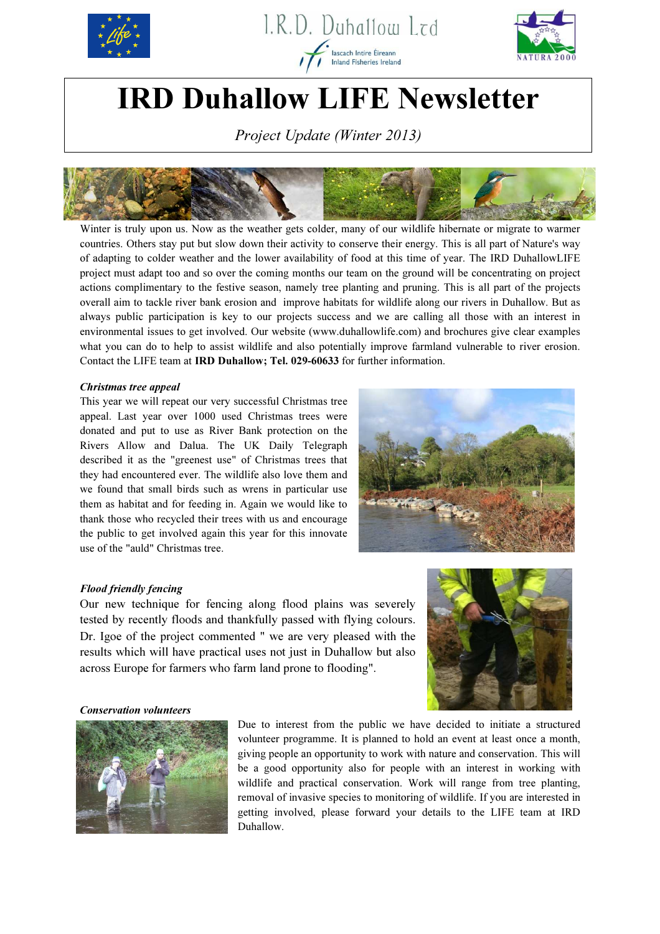





# IRD Duhallow LIFE Newsletter

Project Update (Winter 2013)



Winter is truly upon us. Now as the weather gets colder, many of our wildlife hibernate or migrate to warmer countries. Others stay put but slow down their activity to conserve their energy. This is all part of Nature's way of adapting to colder weather and the lower availability of food at this time of year. The IRD DuhallowLIFE project must adapt too and so over the coming months our team on the ground will be concentrating on project actions complimentary to the festive season, namely tree planting and pruning. This is all part of the projects overall aim to tackle river bank erosion and improve habitats for wildlife along our rivers in Duhallow. But as always public participation is key to our projects success and we are calling all those with an interest in environmental issues to get involved. Our website (www.duhallowlife.com) and brochures give clear examples what you can do to help to assist wildlife and also potentially improve farmland vulnerable to river erosion. Contact the LIFE team at IRD Duhallow; Tel. 029-60633 for further information.

## Christmas tree appeal

This year we will repeat our very successful Christmas tree appeal. Last year over 1000 used Christmas trees were donated and put to use as River Bank protection on the Rivers Allow and Dalua. The UK Daily Telegraph described it as the "greenest use" of Christmas trees that they had encountered ever. The wildlife also love them and we found that small birds such as wrens in particular use them as habitat and for feeding in. Again we would like to thank those who recycled their trees with us and encourage the public to get involved again this year for this innovate use of the "auld" Christmas tree.



## Flood friendly fencing

Our new technique for fencing along flood plains was severely tested by recently floods and thankfully passed with flying colours. Dr. Igoe of the project commented " we are very pleased with the results which will have practical uses not just in Duhallow but also across Europe for farmers who farm land prone to flooding".



#### Conservation volunteers



Due to interest from the public we have decided to initiate a structured volunteer programme. It is planned to hold an event at least once a month, giving people an opportunity to work with nature and conservation. This will be a good opportunity also for people with an interest in working with wildlife and practical conservation. Work will range from tree planting, removal of invasive species to monitoring of wildlife. If you are interested in getting involved, please forward your details to the LIFE team at IRD Duhallow.